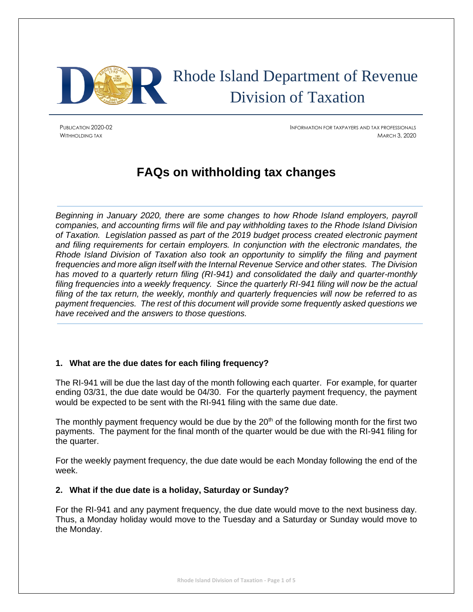

# Rhode Island Department of Revenue Division of Taxation

PUBLICATION 2020-02 INFORMATION FOR TAXPAYERS AND TAX PROFESSIONALS WITHHOLDING TAX MARCH 3, 2020

# **FAQs on withholding tax changes**

*Beginning in January 2020, there are some changes to how Rhode Island employers, payroll companies, and accounting firms will file and pay withholding taxes to the Rhode Island Division of Taxation. Legislation passed as part of the 2019 budget process created electronic payment and filing requirements for certain employers. In conjunction with the electronic mandates, the Rhode Island Division of Taxation also took an opportunity to simplify the filing and payment frequencies and more align itself with the Internal Revenue Service and other states. The Division has moved to a quarterly return filing (RI-941) and consolidated the daily and quarter-monthly filing frequencies into a weekly frequency. Since the quarterly RI-941 filing will now be the actual filing of the tax return, the weekly, monthly and quarterly frequencies will now be referred to as payment frequencies. The rest of this document will provide some frequently asked questions we have received and the answers to those questions.*

# **1. What are the due dates for each filing frequency?**

The RI-941 will be due the last day of the month following each quarter. For example, for quarter ending 03/31, the due date would be 04/30. For the quarterly payment frequency, the payment would be expected to be sent with the RI-941 filing with the same due date.

The monthly payment frequency would be due by the  $20<sup>th</sup>$  of the following month for the first two payments. The payment for the final month of the quarter would be due with the RI-941 filing for the quarter.

For the weekly payment frequency, the due date would be each Monday following the end of the week.

# **2. What if the due date is a holiday, Saturday or Sunday?**

For the RI-941 and any payment frequency, the due date would move to the next business day. Thus, a Monday holiday would move to the Tuesday and a Saturday or Sunday would move to the Monday.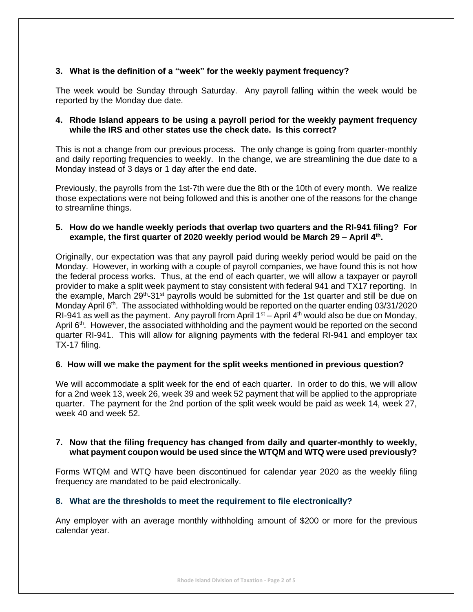# **3. What is the definition of a "week" for the weekly payment frequency?**

The week would be Sunday through Saturday. Any payroll falling within the week would be reported by the Monday due date.

#### **4. Rhode Island appears to be using a payroll period for the weekly payment frequency while the IRS and other states use the check date. Is this correct?**

This is not a change from our previous process. The only change is going from quarter-monthly and daily reporting frequencies to weekly. In the change, we are streamlining the due date to a Monday instead of 3 days or 1 day after the end date.

Previously, the payrolls from the 1st-7th were due the 8th or the 10th of every month. We realize those expectations were not being followed and this is another one of the reasons for the change to streamline things.

#### **5. How do we handle weekly periods that overlap two quarters and the RI-941 filing? For example, the first quarter of 2020 weekly period would be March 29 – April 4th .**

Originally, our expectation was that any payroll paid during weekly period would be paid on the Monday. However, in working with a couple of payroll companies, we have found this is not how the federal process works. Thus, at the end of each quarter, we will allow a taxpayer or payroll provider to make a split week payment to stay consistent with federal 941 and TX17 reporting. In the example, March 29<sup>th</sup>-31<sup>st</sup> payrolls would be submitted for the 1st quarter and still be due on Monday April 6<sup>th</sup>. The associated withholding would be reported on the quarter ending 03/31/2020 RI-941 as well as the payment. Any payroll from April  $1<sup>st</sup>$  – April 4<sup>th</sup> would also be due on Monday, April 6<sup>th</sup>. However, the associated withholding and the payment would be reported on the second quarter RI-941. This will allow for aligning payments with the federal RI-941 and employer tax TX-17 filing.

#### **6**. **How will we make the payment for the split weeks mentioned in previous question?**

We will accommodate a split week for the end of each quarter. In order to do this, we will allow for a 2nd week 13, week 26, week 39 and week 52 payment that will be applied to the appropriate quarter. The payment for the 2nd portion of the split week would be paid as week 14, week 27, week 40 and week 52.

#### **7. Now that the filing frequency has changed from daily and quarter-monthly to weekly, what payment coupon would be used since the WTQM and WTQ were used previously?**

Forms WTQM and WTQ have been discontinued for calendar year 2020 as the weekly filing frequency are mandated to be paid electronically.

#### **8. What are the thresholds to meet the requirement to file electronically?**

Any employer with an average monthly withholding amount of \$200 or more for the previous calendar year.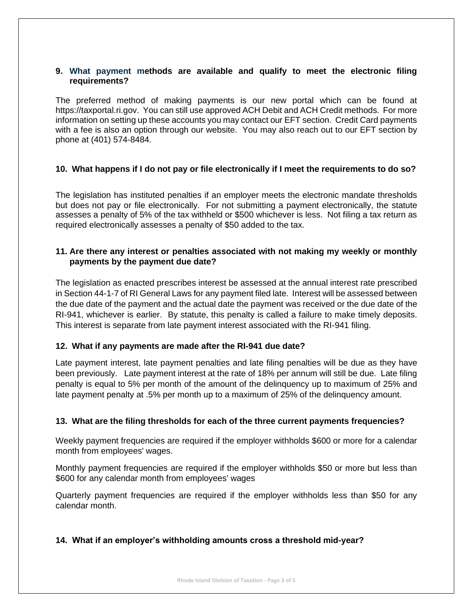#### **9. What payment methods are available and qualify to meet the electronic filing requirements?**

The preferred method of making payments is our new portal which can be found at [https://taxportal.ri.gov.](https://taxportal.ri.gov/) You can still use approved ACH Debit and ACH Credit methods. For more information on setting up these accounts you may contact our EFT section. Credit Card payments with a fee is also an option through our website. You may also reach out to our EFT section by phone at (401) 574-8484.

# **10. What happens if I do not pay or file electronically if I meet the requirements to do so?**

The legislation has instituted penalties if an employer meets the electronic mandate thresholds but does not pay or file electronically. For not submitting a payment electronically, the statute assesses a penalty of 5% of the tax withheld or \$500 whichever is less. Not filing a tax return as required electronically assesses a penalty of \$50 added to the tax.

# **11. Are there any interest or penalties associated with not making my weekly or monthly payments by the payment due date?**

The legislation as enacted prescribes interest be assessed at the annual interest rate prescribed in Section 44-1-7 of RI General Laws for any payment filed late. Interest will be assessed between the due date of the payment and the actual date the payment was received or the due date of the RI-941, whichever is earlier. By statute, this penalty is called a failure to make timely deposits. This interest is separate from late payment interest associated with the RI-941 filing.

# **12. What if any payments are made after the RI-941 due date?**

Late payment interest, late payment penalties and late filing penalties will be due as they have been previously. Late payment interest at the rate of 18% per annum will still be due. Late filing penalty is equal to 5% per month of the amount of the delinquency up to maximum of 25% and late payment penalty at .5% per month up to a maximum of 25% of the delinquency amount.

# **13. What are the filing thresholds for each of the three current payments frequencies?**

Weekly payment frequencies are required if the employer withholds \$600 or more for a calendar month from employees' wages.

Monthly payment frequencies are required if the employer withholds \$50 or more but less than \$600 for any calendar month from employees' wages

Quarterly payment frequencies are required if the employer withholds less than \$50 for any calendar month.

# **14. What if an employer's withholding amounts cross a threshold mid-year?**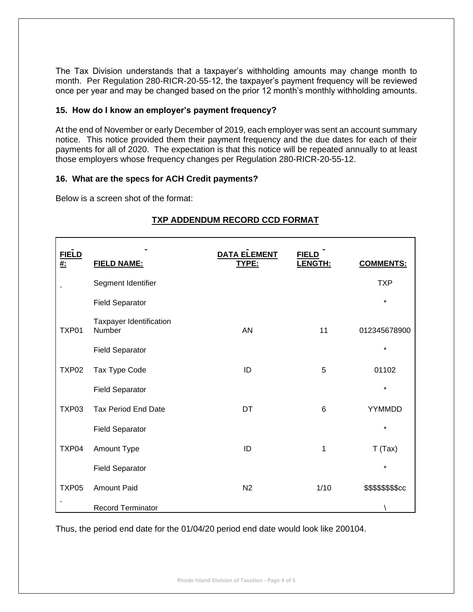The Tax Division understands that a taxpayer's withholding amounts may change month to month. Per Regulation 280-RICR-20-55-12, the taxpayer's payment frequency will be reviewed once per year and may be changed based on the prior 12 month's monthly withholding amounts.

#### **15. How do I know an employer's payment frequency?**

At the end of November or early December of 2019, each employer was sent an account summary notice. This notice provided them their payment frequency and the due dates for each of their payments for all of 2020. The expectation is that this notice will be repeated annually to at least those employers whose frequency changes per Regulation 280-RICR-20-55-12.

#### **16. What are the specs for ACH Credit payments?**

Below is a screen shot of the format:

| <b>FIELD</b><br><u>#:</u> | <b>FIELD NAME:</b>                | <b>DATA ELEMENT</b><br>TYPE: | <b>FIELD</b><br>LENGTH: | <b>COMMENTS:</b>   |
|---------------------------|-----------------------------------|------------------------------|-------------------------|--------------------|
|                           | Segment Identifier                |                              |                         | <b>TXP</b>         |
|                           | <b>Field Separator</b>            |                              |                         | $\star$            |
| TXP01                     | Taxpayer Identification<br>Number | <b>AN</b>                    | 11                      | 012345678900       |
|                           | <b>Field Separator</b>            |                              |                         | $\star$            |
| TXP <sub>02</sub>         | Tax Type Code                     | ID                           | 5                       | 01102              |
|                           | <b>Field Separator</b>            |                              |                         | $\star$            |
| TXP03                     | <b>Tax Period End Date</b>        | DT                           | 6                       | YYMMDD             |
|                           | <b>Field Separator</b>            |                              |                         | $\star$            |
| TXP04                     | Amount Type                       | ID                           | 1                       | T(Tax)             |
|                           | <b>Field Separator</b>            |                              |                         | $\star$            |
| TXP05                     | <b>Amount Paid</b>                | N <sub>2</sub>               | 1/10                    | \$\$\$\$\$\$\$\$cc |
|                           | <b>Record Terminator</b>          |                              |                         |                    |

# **TXP ADDENDUM RECORD CCD FORMAT**

Thus, the period end date for the 01/04/20 period end date would look like 200104.